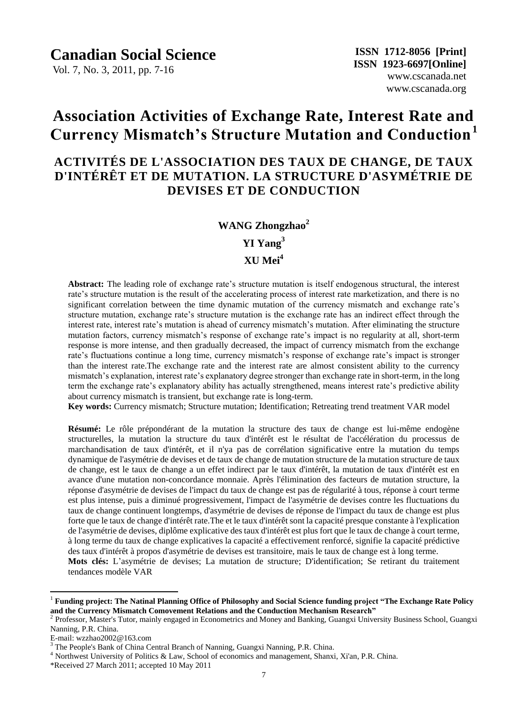Vol. 7, No. 3, 2011, pp. 7-16

# **Association Activities of Exchange Rate, Interest Rate and Currency Mismatch's Structure Mutation and Conduction<sup>1</sup>**

## **ACTIVITÉS DE L'ASSOCIATION DES TAUX DE CHANGE, DE TAUX D'INTÉRÊT ET DE MUTATION. LA STRUCTURE D'ASYMÉTRIE DE DEVISES ET DE CONDUCTION**

# **WANG Zhongzhao<sup>2</sup>**

**YI Yang<sup>3</sup>**

#### **XU Mei<sup>4</sup>**

**Abstract:** The leading role of exchange rate's structure mutation is itself endogenous structural, the interest rate's structure mutation is the result of the accelerating process of interest rate marketization, and there is no significant correlation between the time dynamic mutation of the currency mismatch and exchange rate's structure mutation, exchange rate's structure mutation is the exchange rate has an indirect effect through the interest rate, interest rate's mutation is ahead of currency mismatch's mutation. After eliminating the structure mutation factors, currency mismatch's response of exchange rate's impact is no regularity at all, short-term response is more intense, and then gradually decreased, the impact of currency mismatch from the exchange rate's fluctuations continue a long time, currency mismatch's response of exchange rate's impact is stronger than the interest rate.The exchange rate and the interest rate are almost consistent ability to the currency mismatch's explanation, interest rate's explanatory degree stronger than exchange rate in short-term, in the long term the exchange rate's explanatory ability has actually strengthened, means interest rate's predictive ability about currency mismatch is transient, but exchange rate is long-term.

**Key words:** Currency mismatch; Structure mutation; Identification; Retreating trend treatment VAR model

Résumé: Le rôle prépondérant de la mutation la structure des taux de change est lui-même endogène structurelles, la mutation la structure du taux d'intérêt est le résultat de l'accélération du processus de marchandisation de taux d'intérêt, et il n'ya pas de corrélation significative entre la mutation du temps dynamique de l'asymétrie de devises et de taux de change de mutation structure de la mutation structure de taux de change, est le taux de change a un effet indirect par le taux d'intérêt, la mutation de taux d'intérêt est en avance d'une mutation non-concordance monnaie. Après l'élimination des facteurs de mutation structure, la réponse d'asymétrie de devises de l'impact du taux de change est pas de régularité à tous, réponse à court terme est plus intense, puis a diminué progressivement, l'impact de l'asymétrie de devises contre les fluctuations du taux de change continuent longtemps, d'asymétrie de devises de réponse de l'impact du taux de change est plus forte que le taux de change d'intérêt rate. The et le taux d'intérêt sont la capacité presque constante à l'explication de l'asymétrie de devises, diplôme explicative des taux d'intérêt est plus fort que le taux de change à court terme, à long terme du taux de change explicatives la capacité a effectivement renforcé, signifie la capacité prédictive des taux d'intérêt à propos d'asymétrie de devises est transitoire, mais le taux de change est à long terme. **Mots clés:** L'asymétrie de devises; La mutation de structure; D'identification; Se retirant du traitement tendances modèle VAR

E-mail: wzzhao2002@163.com

 $\overline{a}$ 

<sup>1</sup> **Funding project: The Natinal Planning Office of Philosophy and Social Science funding project "The Exchange Rate Policy and the Currency Mismatch Comovement Relations and the Conduction Mechanism Research"**

<sup>2</sup> Professor, Master's Tutor, mainly engaged in Econometrics and Money and Banking, Guangxi University Business School, Guangxi Nanning, P.R. China.

<sup>&</sup>lt;sup>3</sup> The People's Bank of China Central Branch of Nanning, Guangxi Nanning, P.R. China.

<sup>&</sup>lt;sup>4</sup> Northwest University of Politics & Law, School of economics and management, Shanxi, Xi'an, P.R. China.

<sup>\*</sup>Received 27 March 2011; accepted 10 May 2011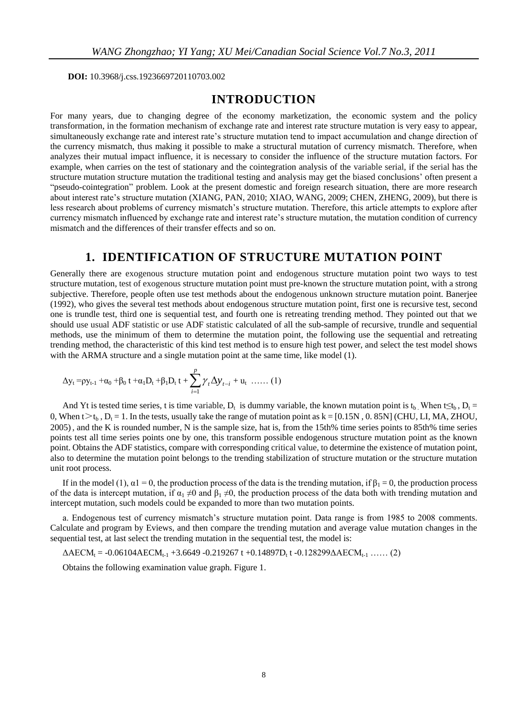**DOI:** 10.3968/j.css.1923669720110703.002

#### **INTRODUCTION**

For many years, due to changing degree of the economy marketization, the economic system and the policy transformation, in the formation mechanism of exchange rate and interest rate structure mutation is very easy to appear, simultaneously exchange rate and interest rate's structure mutation tend to impact accumulation and change direction of the currency mismatch, thus making it possible to make a structural mutation of currency mismatch. Therefore, when analyzes their mutual impact influence, it is necessary to consider the influence of the structure mutation factors. For example, when carries on the test of stationary and the cointegration analysis of the variable serial, if the serial has the structure mutation structure mutation the traditional testing and analysis may get the biased conclusions' often present a "pseudo-cointegration" problem. Look at the present domestic and foreign research situation, there are more research about interest rate's structure mutation (XIANG, PAN, 2010; XIAO, WANG, 2009; CHEN, ZHENG, 2009), but there is less research about problems of currency mismatch's structure mutation. Therefore, this article attempts to explore after currency mismatch influenced by exchange rate and interest rate's structure mutation, the mutation condition of currency mismatch and the differences of their transfer effects and so on.

#### **1. IDENTIFICATION OF STRUCTURE MUTATION POINT**

Generally there are exogenous structure mutation point and endogenous structure mutation point two ways to test structure mutation, test of exogenous structure mutation point must pre-known the structure mutation point, with a strong subjective. Therefore, people often use test methods about the endogenous unknown structure mutation point. Banerjee (1992), who gives the several test methods about endogenous structure mutation point, first one is recursive test, second one is trundle test, third one is sequential test, and fourth one is retreating trending method. They pointed out that we should use usual ADF statistic or use ADF statistic calculated of all the sub-sample of recursive, trundle and sequential methods, use the minimum of them to determine the mutation point, the following use the sequential and retreating trending method, the characteristic of this kind test method is to ensure high test power, and select the test model shows with the ARMA structure and a single mutation point at the same time, like model (1).

$$
\Delta y_t = p y_{t-1} + \alpha_0 + \beta_0 t + \alpha_1 D_t + \beta_1 D_t t + \sum_{i=1}^p \gamma_t \Delta y_{t-i} + u_t \ \ldots \qquad (1)
$$

And Yt is tested time series, t is time variable,  $D_t$  is dummy variable, the known mutation point is t<sub>b</sub>. When t≤t<sub>b</sub>, D<sub>t</sub> = 0, When t $>t<sub>b</sub>$ ,  $D<sub>t</sub> = 1$ . In the tests, usually take the range of mutation point as k = [0.15N, 0.85N] (CHU, LI, MA, ZHOU, 2005), and the K is rounded number, N is the sample size, hat is, from the 15th% time series points to 85th% time series points test all time series points one by one, this transform possible endogenous structure mutation point as the known point. Obtains the ADF statistics, compare with corresponding critical value, to determine the existence of mutation point, also to determine the mutation point belongs to the trending stabilization of structure mutation or the structure mutation unit root process.

If in the model (1),  $\alpha$ 1 = 0, the production process of the data is the trending mutation, if  $\beta_1 = 0$ , the production process of the data is intercept mutation, if  $\alpha_1 \neq 0$  and  $\beta_1 \neq 0$ , the production process of the data both with trending mutation and intercept mutation, such models could be expanded to more than two mutation points.

a. Endogenous test of currency mismatch's structure mutation point. Data range is from 1985 to 2008 comments. Calculate and program by Eviews, and then compare the trending mutation and average value mutation changes in the sequential test, at last select the trending mutation in the sequential test, the model is:

ΔAECM<sub>t</sub> = -0.06104AECM<sub>t-1</sub> +3.6649 -0.219267 t +0.14897D<sub>t</sub> t -0.128299ΔAECM<sub>t-1</sub> ...... (2)

Obtains the following examination value graph. Figure 1.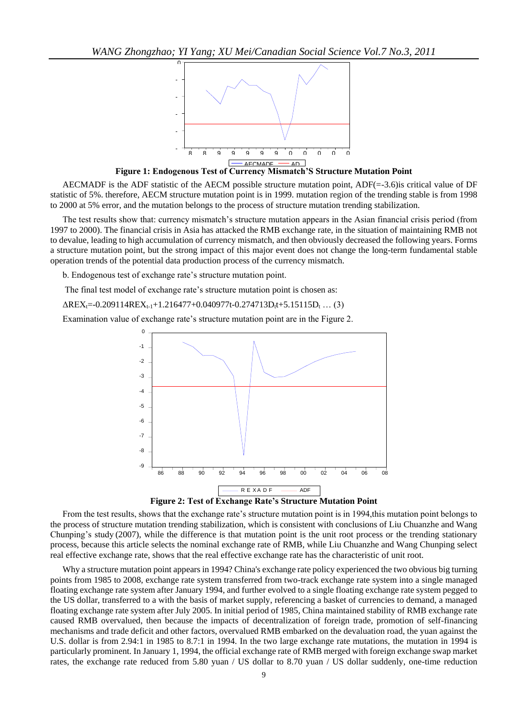

**Figure 1: Endogenous Test of Currency Mismatch'S Structure Mutation Point** F

AECMADF is the ADF statistic of the AECM possible structure mutation point, ADF(=-3.6)is critical value of DF statistic of 5%. therefore, AECM structure mutation point is in 1999. mutation region of the trending stable is from 1998 to 2000 at 5% error, and the mutation belongs to the process of structure mutation trending stabilization.

The test results show that: currency mismatch's structure mutation appears in the Asian financial crisis period (from 1997 to 2000). The financial crisis in Asia has attacked the RMB exchange rate, in the situation of maintaining RMB not to devalue, leading to high accumulation of currency mismatch, and then obviously decreased the following years. Forms a structure mutation point, but the strong impact of this major event does not change the long-term fundamental stable operation trends of the potential data production process of the currency mismatch.

b. Endogenous test of exchange rate's structure mutation point.

The final test model of exchange rate's structure mutation point is chosen as:

 $\Delta$ REX<sub>t</sub>=-0.209114REX<sub>t-1</sub>+1.216477+0.040977t-0.274713D<sub>t</sub>t+5.15115D<sub>t</sub> ... (3)

Examination value of exchange rate's structure mutation point are in the Figure 2.



**Figure 2: Test of Exchange Rate's Structure Mutation Point**

From the test results, shows that the exchange rate's structure mutation point is in 1994,this mutation point belongs to the process of structure mutation trending stabilization, which is consistent with conclusions of Liu Chuanzhe and Wang Chunping's study (2007), while the difference is that mutation point is the unit root process or the trending stationary process, because this article selects the nominal exchange rate of RMB, while Liu Chuanzhe and Wang Chunping select real effective exchange rate, shows that the real effective exchange rate has the characteristic of unit root.

Why a structure mutation point appears in 1994? China's exchange rate policy experienced the two obvious big turning points from 1985 to 2008, exchange rate system transferred from two-track exchange rate system into a single managed floating exchange rate system after January 1994, and further evolved to a single floating exchange rate system pegged to the US dollar, transferred to a with the basis of market supply, referencing a basket of currencies to demand, a managed floating exchange rate system after July 2005. In initial period of 1985, China maintained stability of RMB exchange rate caused RMB overvalued, then because the impacts of decentralization of foreign trade, promotion of self-financing mechanisms and trade deficit and other factors, overvalued RMB embarked on the devaluation road, the yuan against the U.S. dollar is from 2.94:1 in 1985 to 8.7:1 in 1994. In the two large exchange rate mutations, the mutation in 1994 is particularly prominent. In January 1, 1994, the official exchange rate of RMB merged with foreign exchange swap market rates, the exchange rate reduced from 5.80 yuan / US dollar to 8.70 yuan / US dollar suddenly, one-time reduction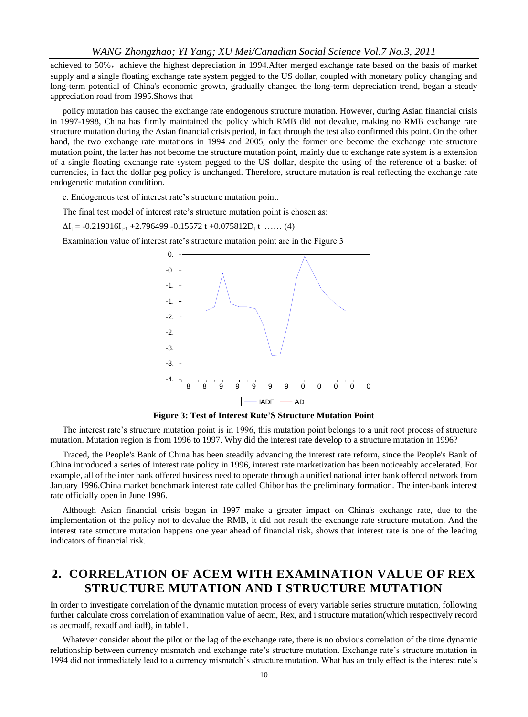achieved to 50%, achieve the highest depreciation in 1994.After merged exchange rate based on the basis of market supply and a single floating exchange rate system pegged to the US dollar, coupled with monetary policy changing and long-term potential of China's economic growth, gradually changed the long-term depreciation trend, began a steady appreciation road from 1995.Shows that

policy mutation has caused the exchange rate endogenous structure mutation. However, during Asian financial crisis in 1997-1998, China has firmly maintained the policy which RMB did not devalue, making no RMB exchange rate structure mutation during the Asian financial crisis period, in fact through the test also confirmed this point. On the other hand, the two exchange rate mutations in 1994 and 2005, only the former one become the exchange rate structure mutation point, the latter has not become the structure mutation point, mainly due to exchange rate system is a extension of a single floating exchange rate system pegged to the US dollar, despite the using of the reference of a basket of currencies, in fact the dollar peg policy is unchanged. Therefore, structure mutation is real reflecting the exchange rate endogenetic mutation condition.

c. Endogenous test of interest rate's structure mutation point.

The final test model of interest rate's structure mutation point is chosen as:

 $\Delta I_t = -0.219016I_{t-1} + 2.796499 - 0.15572 t + 0.075812D_t t$  ...... (4)

Examination value of interest rate's structure mutation point are in the Figure 3



**Figure 3: Test of Interest Rate'S Structure Mutation Point** F

The interest rate's structure mutation point is in 1996, this mutation point belongs to a unit root process of structure mutation. Mutation region is from 1996 to 1997. Why did the interest rate develop to a structure mutation in 1996?

Traced, the People's Bank of China has been steadily advancing the interest rate reform, since the People's Bank of China introduced a series of interest rate policy in 1996, interest rate marketization has been noticeably accelerated. For example, all of the inter bank offered business need to operate through a unified national inter bank offered network from January 1996,China market benchmark interest rate called Chibor has the preliminary formation. The inter-bank interest rate officially open in June 1996.

Although Asian financial crisis began in 1997 make a greater impact on China's exchange rate, due to the implementation of the policy not to devalue the RMB, it did not result the exchange rate structure mutation. And the interest rate structure mutation happens one year ahead of financial risk, shows that interest rate is one of the leading indicators of financial risk.

### **2. CORRELATION OF ACEM WITH EXAMINATION VALUE OF REX STRUCTURE MUTATION AND I STRUCTURE MUTATION**

In order to investigate correlation of the dynamic mutation process of every variable series structure mutation, following further calculate cross correlation of examination value of aecm, Rex, and i structure mutation(which respectively record as aecmadf, rexadf and iadf), in table1.

Whatever consider about the pilot or the lag of the exchange rate, there is no obvious correlation of the time dynamic relationship between currency mismatch and exchange rate's structure mutation. Exchange rate's structure mutation in 1994 did not immediately lead to a currency mismatch's structure mutation. What has an truly effect is the interest rate's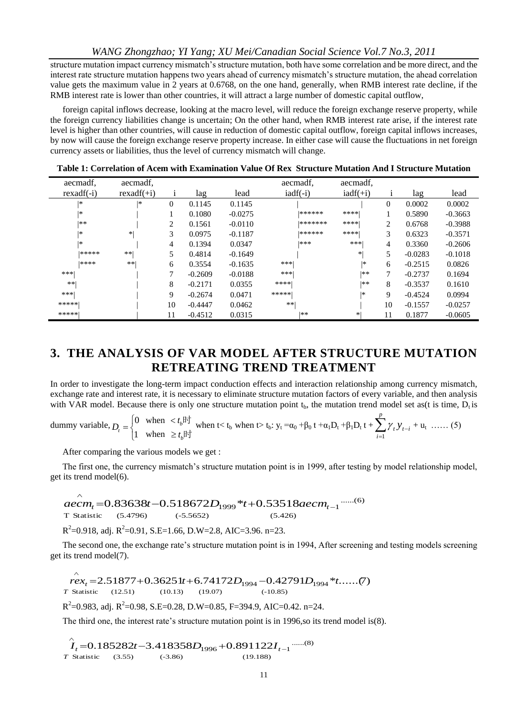structure mutation impact currency mismatch's structure mutation, both have some correlation and be more direct, and the interest rate structure mutation happens two years ahead of currency mismatch's structure mutation, the ahead correlation value gets the maximum value in 2 years at 0.6768, on the one hand, generally, when RMB interest rate decline, if the RMB interest rate is lower than other countries, it will attract a large number of domestic capital outflow,

foreign capital inflows decrease, looking at the macro level, will reduce the foreign exchange reserve property, while the foreign currency liabilities change is uncertain; On the other hand, when RMB interest rate arise, if the interest rate level is higher than other countries, will cause in reduction of domestic capital outflow, foreign capital inflows increases, by now will cause the foreign exchange reserve property increase. In either case will cause the fluctuations in net foreign currency assets or liabilities, thus the level of currency mismatch will change.

| aecmadf.     | aecmadf.     |                |           |           | aecmadf,       | aecmadf,          |    |           |           |
|--------------|--------------|----------------|-----------|-----------|----------------|-------------------|----|-----------|-----------|
| $rexadf(-i)$ | $rexadf(+i)$ | $\mathbf{1}$   | lag       | lead      | $i$ adf $(-i)$ | $i\text{ad}f(+i)$ |    | lag       | lead      |
| *            | *            | $\mathbf{0}$   | 0.1145    | 0.1145    |                |                   | 0  | 0.0002    | 0.0002    |
| *            |              |                | 0.1080    | $-0.0275$ | ******         | ****              |    | 0.5890    | $-0.3663$ |
| **           |              | $\overline{c}$ | 0.1561    | $-0.0110$ | *******        | ****              | 2  | 0.6768    | $-0.3988$ |
| *            | *1           | 3              | 0.0975    | $-0.1187$ | ******         | ****              | 3  | 0.6323    | $-0.3571$ |
| *            |              | 4              | 0.1394    | 0.0347    | ***            | ***               | 4  | 0.3360    | $-0.2606$ |
| *****        | $**$         | 5              | 0.4814    | $-0.1649$ |                | *1                | 5  | $-0.0283$ | $-0.1018$ |
| ****         | $**$         | 6              | 0.3554    | $-0.1635$ | ***            | *                 | 6  | $-0.2515$ | 0.0826    |
| ***          |              | 7              | $-0.2609$ | $-0.0188$ | ***            | **                | 7  | $-0.2737$ | 0.1694    |
| **           |              | 8              | $-0.2171$ | 0.0355    | ****           | **                | 8  | $-0.3537$ | 0.1610    |
| ***          |              | 9              | $-0.2674$ | 0.0471    | *****          | *                 | 9  | $-0.4524$ | 0.0994    |
| *****        |              | 10             | $-0.4447$ | 0.0462    | $**1$          |                   | 10 | $-0.1557$ | $-0.0257$ |
| *****        |              | 11             | $-0.4512$ | 0.0315    | **             | *1                | 11 | 0.1877    | $-0.0605$ |

**Table 1: Correlation of Acem with Examination Value Of Rex Structure Mutation And I Structure Mutation**

### **3. THE ANALYSIS OF VAR MODEL AFTER STRUCTURE MUTATION RETREATING TREND TREATMENT**

In order to investigate the long-term impact conduction effects and interaction relationship among currency mismatch, exchange rate and interest rate, it is necessary to eliminate structure mutation factors of every variable, and then analysis with VAR model. Because there is only one structure mutation point  $t<sub>b</sub>$ , the mutation trend model set as(t is time,  $\dot{D}_t$  is

dummy variable, 
$$
D_{t} = \begin{cases} 0 & \text{when } \langle t_{b} \vert^{\frac{1}{2}} \\ 1 & \text{when } \geq t_{b} \vert^{\frac{1}{2}} \end{cases} \text{ when } t \langle t_{b} \text{ when } t \rangle \text{ to } y_{t} = \alpha_{0} + \beta_{0} t + \alpha_{1} D_{t} + \beta_{1} D_{t} t + \sum_{i=1}^{p} \gamma_{t} y_{t-i} + u_{t} \dots \tag{5}
$$

After comparing the various models we get :

 $\wedge$ 

The first one, the currency mismatch's structure mutation point is in 1999, after testing by model relationship model, get its trend model(6).

T Statistic (5.4796) (-5.5652) (5.426) ......(6) <sup>1999</sup> 53518 <sup>1</sup> 0.83638 0.518672 \* 0. *t aecm<sup>t</sup> aecm t D t*

 $R^2$ =0.918, adj.  $R^2$ =0.91, S.E=1.66, D.W=2.8, AIC=3.96. n=23.

The second one, the exchange rate's structure mutation point is in 1994, After screening and testing models screening get its trend model(7).

 Statistic (12.51) (10.13) (19.07) (-10.85) *T*  $rex_t = 2.51877 + 0.36251t + 6.74172D_{1994} - 0.42791D_{1994} + t$ ......(7)  $\lambda$  $R^2$ =0.983, adj.  $R^2$ =0.98, S.E=0.28, D.W=0.85, F=394.9, AIC=0.42. n=24.

The third one, the interest rate's structure mutation point is in 1996,so its trend model is(8).

Statistic (3.55) (-3.86) (19.188)  $\hat{I}_t$  = 0.185282t – 3.418358D<sub>1996</sub> + 0.891122I<sub>t-1</sub> .......(8) *T*  $\hat{I}_t$  = 0.185282t – 3.418358 $D_{1996}$  + 0.891122 $I_{t-1}$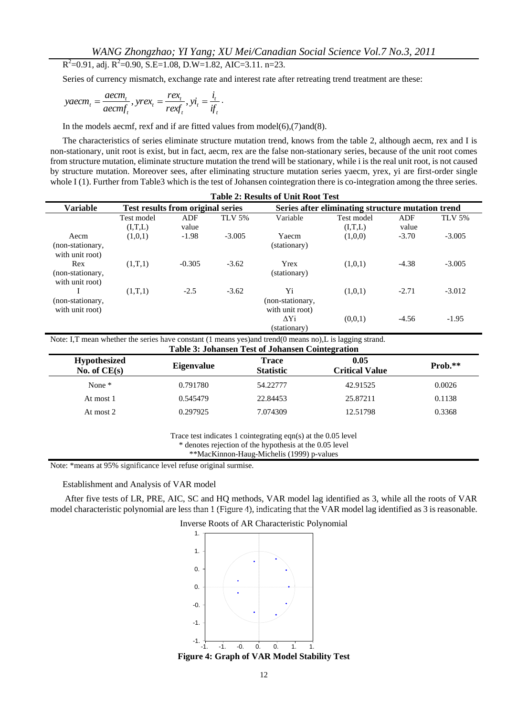$R^2$ =0.91, adj.  $R^2$ =0.90, S.E=1.08, D.W=1.82, AIC=3.11. n=23.

Series of currency mismatch, exchange rate and interest rate after retreating trend treatment are these:

$$
yaecm_t = \frac{aecm_t}{aecm_{t_t}}, yrex_t = \frac{rex_t}{rex_{t_t}}, yi_t = \frac{i_t}{if_t}.
$$

In the models aecmf, rexf and if are fitted values from model(6),(7)and(8).

The characteristics of series eliminate structure mutation trend, knows from the table 2, although aecm, rex and I is non-stationary, unit root is exist, but in fact, aecm, rex are the false non-stationary series, because of the unit root comes from structure mutation, eliminate structure mutation the trend will be stationary, while i is the real unit root, is not caused by structure mutation. Moreover sees, after eliminating structure mutation series yaecm, yrex, yi are first-order single whole I (1). Further from Table3 which is the test of Johansen cointegration there is co-integration among the three series.

| <b>Table 2: Results of Unit Root Test</b> |                                   |          |          |                                                   |            |         |               |  |
|-------------------------------------------|-----------------------------------|----------|----------|---------------------------------------------------|------------|---------|---------------|--|
| <b>Variable</b>                           | Test results from original series |          |          | Series after eliminating structure mutation trend |            |         |               |  |
|                                           | Test model                        | ADF      | TLV 5%   | Variable                                          | Test model | ADF     | <b>TLV 5%</b> |  |
|                                           | (I,T,L)                           | value    |          |                                                   | (I,T,L)    | value   |               |  |
| Aecm                                      | (1,0,1)                           | $-1.98$  | $-3.005$ | Yaecm                                             | (1,0,0)    | $-3.70$ | $-3.005$      |  |
| (non-stationary,                          |                                   |          |          | (stationary)                                      |            |         |               |  |
| with unit root)                           |                                   |          |          |                                                   |            |         |               |  |
| Rex                                       | (1,T,1)                           | $-0.305$ | $-3.62$  | Yrex                                              | (1,0,1)    | $-4.38$ | $-3.005$      |  |
| (non-stationary,                          |                                   |          |          | (stationary)                                      |            |         |               |  |
| with unit root)                           |                                   |          |          |                                                   |            |         |               |  |
|                                           | (1,T,1)                           | $-2.5$   | $-3.62$  | Yi                                                | (1,0,1)    | $-2.71$ | $-3.012$      |  |
| (non-stationary,                          |                                   |          |          | (non-stationary,                                  |            |         |               |  |
| with unit root)                           |                                   |          |          | with unit root)                                   |            |         |               |  |
|                                           |                                   |          |          | ΔYi                                               | (0,0,1)    | $-4.56$ | $-1.95$       |  |
|                                           |                                   |          |          | (stationary)                                      |            |         |               |  |

Note: I,T mean whether the series have constant (1 means yes)and trend(0 means no),L is lagging strand.

| <b>Table 3: Johansen Test of Johansen Cointegration</b> |                   |                                  |                               |           |  |  |
|---------------------------------------------------------|-------------------|----------------------------------|-------------------------------|-----------|--|--|
| <b>Hypothesized</b><br>No. of $CE(s)$                   | <b>Eigenvalue</b> | <b>Trace</b><br><b>Statistic</b> | 0.05<br><b>Critical Value</b> | $Prob.**$ |  |  |
| None $*$                                                | 0.791780          | 54.22777                         | 42.91525                      | 0.0026    |  |  |
| At most 1                                               | 0.545479          | 22.84453                         | 25.87211                      | 0.1138    |  |  |
| At most 2                                               | 0.297925          | 7.074309                         | 12.51798                      | 0.3368    |  |  |

Trace test indicates 1 cointegrating eqn(s) at the 0.05 level

\* denotes rejection of the hypothesis at the 0.05 level

\*\*MacKinnon-Haug-Michelis (1999) p-values

Note: \*means at 95% significance level refuse original surmise.

Establishment and Analysis of VAR model

After five tests of LR, PRE, AIC, SC and HQ methods, VAR model lag identified as 3, while all the roots of VAR model characteristic polynomial are less than 1 (Figure 4), indicating that the VAR model lag identified as 3 is reasonable.



Figure 4: Graph of VAR Model Stability Test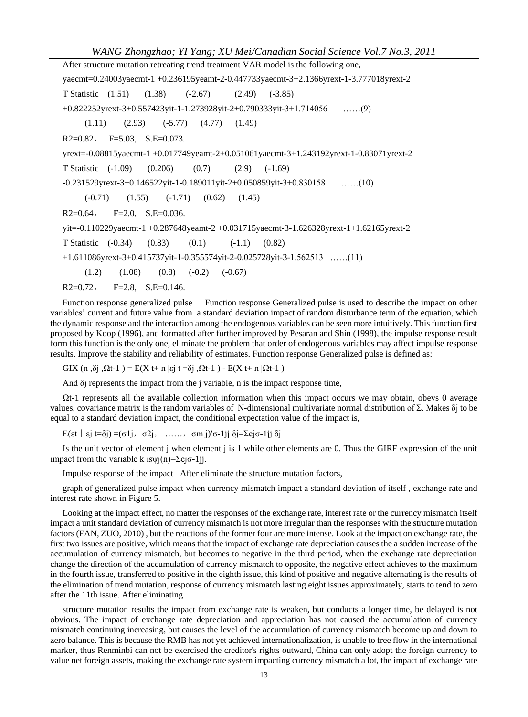After structure mutation retreating trend treatment VAR model is the following one, yaecmt=0.24003yaecmt-1 +0.236195yeamt-2-0.447733yaecmt-3+2.1366yrext-1-3.777018yrext-2 T Statistic (1.51) (1.38) (-2.67) (2.49) (-3.85) +0.822252yrext-3+0.557423yit-1-1.273928yit-2+0.790333yit-3+1.714056 ……(9)  $(1.11)$   $(2.93)$   $(-5.77)$   $(4.77)$   $(1.49)$  $R2=0.82$ ,  $F=5.03$ ,  $S.E=0.073$ . yrext=-0.08815yaecmt-1 +0.017749yeamt-2+0.051061yaecmt-3+1.243192yrext-1-0.83071yrext-2 T Statistic (-1.09) (0.206) (0.7) (2.9) (-1.69) -0.231529yrext-3+0.146522yit-1-0.189011yit-2+0.050859yit-3+0.830158 ……(10)  $(-0.71)$   $(1.55)$   $(-1.71)$   $(0.62)$   $(1.45)$  $R2=0.64$ ,  $F=2.0$ ,  $S.E=0.036$ . yit=-0.110229yaecmt-1 +0.287648yeamt-2 +0.031715yaecmt-3-1.626328yrext-1+1.62165yrext-2 T Statistic (-0.34) (0.83) (0.1) (-1.1) (0.82) +1.611086yrext-3+0.415737yit-1-0.355574yit-2-0.025728yit-3-1.562513 ……(11)  $(1.2)$   $(1.08)$   $(0.8)$   $(-0.2)$   $(-0.67)$  $R2=0.72$ ,  $F=2.8$ ,  $S.E=0.146$ .

Function response generalized pulse Function response Generalized pulse is used to describe the impact on other variables' current and future value from a standard deviation impact of random disturbance term of the equation, which the dynamic response and the interaction among the endogenous variables can be seen more intuitively. This function first proposed by Koop (1996), and formatted after further improved by Pesaran and Shin (1998), the impulse response result form this function is the only one, eliminate the problem that order of endogenous variables may affect impulse response results. Improve the stability and reliability of estimates. Function response Generalized pulse is defined as:

GIX (n, $\delta$ j, $\Omega$ t-1) = E(X t+ n |εj t = $\delta$ j, $\Omega$ t-1) - E(X t+ n | $\Omega$ t-1)

And δj represents the impact from the j variable, n is the impact response time,

 $\Omega t$ -1 represents all the available collection information when this impact occurs we may obtain, obeys 0 average values, covariance matrix is the random variables of N-dimensional multivariate normal distribution of Σ. Makes δj to be equal to a standard deviation impact, the conditional expectation value of the impact is,

E(εt | εj t=δj) =( $\sigma$ 1j,  $\sigma$ 2j, ……, σm j)′σ-1jj δj=Σejσ-1jj δj

Is the unit vector of element j when element j is 1 while other elements are 0. Thus the GIRF expression of the unit impact from the variable k is $\psi$ j(n)=Σej $\sigma$ -1jj.

Impulse response of the impact After eliminate the structure mutation factors,

graph of generalized pulse impact when currency mismatch impact a standard deviation of itself , exchange rate and interest rate shown in Figure 5.

Looking at the impact effect, no matter the responses of the exchange rate, interest rate or the currency mismatch itself impact a unit standard deviation of currency mismatch is not more irregular than the responses with the structure mutation factors (FAN, ZUO, 2010) , but the reactions of the former four are more intense. Look at the impact on exchange rate, the first two issues are positive, which means that the impact of exchange rate depreciation causes the a sudden increase of the accumulation of currency mismatch, but becomes to negative in the third period, when the exchange rate depreciation change the direction of the accumulation of currency mismatch to opposite, the negative effect achieves to the maximum in the fourth issue, transferred to positive in the eighth issue, this kind of positive and negative alternating is the results of the elimination of trend mutation, response of currency mismatch lasting eight issues approximately, starts to tend to zero after the 11th issue. After eliminating

structure mutation results the impact from exchange rate is weaken, but conducts a longer time, be delayed is not obvious. The impact of exchange rate depreciation and appreciation has not caused the accumulation of currency mismatch continuing increasing, but causes the level of the accumulation of currency mismatch become up and down to zero balance. This is because the RMB has not yet achieved internationalization, is unable to free flow in the international marker, thus Renminbi can not be exercised the creditor's rights outward, China can only adopt the foreign currency to value net foreign assets, making the exchange rate system impacting currency mismatch a lot, the impact of exchange rate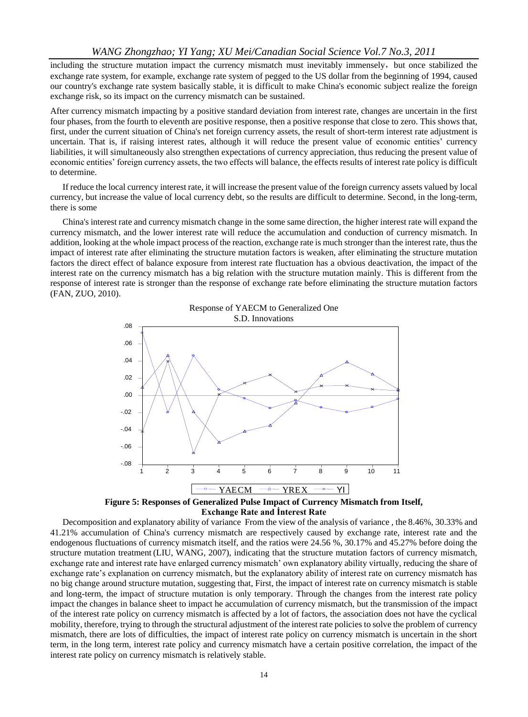including the structure mutation impact the currency mismatch must inevitably immensely, but once stabilized the exchange rate system, for example, exchange rate system of pegged to the US dollar from the beginning of 1994, caused our country's exchange rate system basically stable, it is difficult to make China's economic subject realize the foreign exchange risk, so its impact on the currency mismatch can be sustained.

After currency mismatch impacting by a positive standard deviation from interest rate, changes are uncertain in the first four phases, from the fourth to eleventh are positive response, then a positive response that close to zero. This shows that, first, under the current situation of China's net foreign currency assets, the result of short-term interest rate adjustment is uncertain. That is, if raising interest rates, although it will reduce the present value of economic entities' currency liabilities, it will simultaneously also strengthen expectations of currency appreciation, thus reducing the present value of economic entities' foreign currency assets, the two effects will balance, the effects results of interest rate policy is difficult to determine.

If reduce the local currency interest rate, it will increase the present value of the foreign currency assets valued by local currency, but increase the value of local currency debt, so the results are difficult to determine. Second, in the long-term, there is some

China's interest rate and currency mismatch change in the some same direction, the higher interest rate will expand the currency mismatch, and the lower interest rate will reduce the accumulation and conduction of currency mismatch. In addition, looking at the whole impact process of the reaction, exchange rate is much stronger than the interest rate, thus the impact of interest rate after eliminating the structure mutation factors is weaken, after eliminating the structure mutation factors the direct effect of balance exposure from interest rate fluctuation has a obvious deactivation, the impact of the interest rate on the currency mismatch has a big relation with the structure mutation mainly. This is different from the response of interest rate is stronger than the response of exchange rate before eliminating the structure mutation factors (FAN, ZUO, 2010).



**Figure 5: Responses of Generalized Pulse Impact of Currency Mismatch from Itself, Exchange Rate and İnterest Rate**

Decomposition and explanatory ability of variance From the view of the analysis of variance , the 8.46%, 30.33% and 41.21% accumulation of China's currency mismatch are respectively caused by exchange rate, interest rate and the endogenous fluctuations of currency mismatch itself, and the ratios were 24.56 %, 30.17% and 45.27% before doing the structure mutation treatment (LIU, WANG, 2007), indicating that the structure mutation factors of currency mismatch, exchange rate and interest rate have enlarged currency mismatch' own explanatory ability virtually, reducing the share of exchange rate's explanation on currency mismatch, but the explanatory ability of interest rate on currency mismatch has no big change around structure mutation, suggesting that, First, the impact of interest rate on currency mismatch is stable and long-term, the impact of structure mutation is only temporary. Through the changes from the interest rate policy impact the changes in balance sheet to impact he accumulation of currency mismatch, but the transmission of the impact of the interest rate policy on currency mismatch is affected by a lot of factors, the association does not have the cyclical mobility, therefore, trying to through the structural adjustment of the interest rate policies to solve the problem of currency mismatch, there are lots of difficulties, the impact of interest rate policy on currency mismatch is uncertain in the short term, in the long term, interest rate policy and currency mismatch have a certain positive correlation, the impact of the interest rate policy on currency mismatch is relatively stable.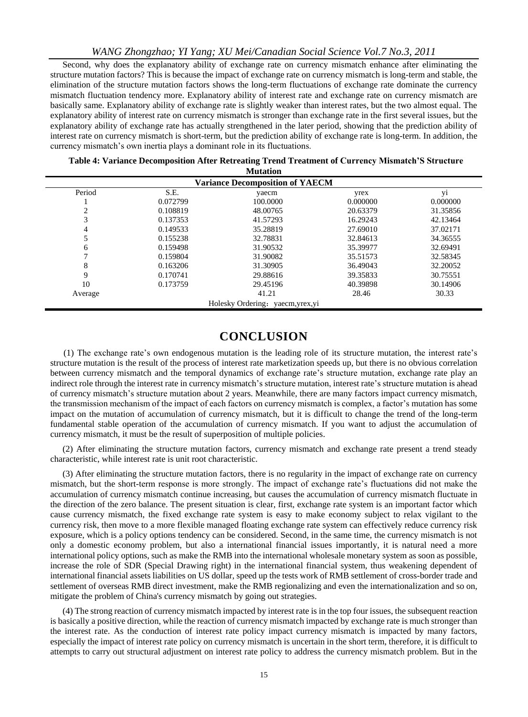Second, why does the explanatory ability of exchange rate on currency mismatch enhance after eliminating the structure mutation factors? This is because the impact of exchange rate on currency mismatch is long-term and stable, the elimination of the structure mutation factors shows the long-term fluctuations of exchange rate dominate the currency mismatch fluctuation tendency more. Explanatory ability of interest rate and exchange rate on currency mismatch are basically same. Explanatory ability of exchange rate is slightly weaker than interest rates, but the two almost equal. The explanatory ability of interest rate on currency mismatch is stronger than exchange rate in the first several issues, but the explanatory ability of exchange rate has actually strengthened in the later period, showing that the prediction ability of interest rate on currency mismatch is short-term, but the prediction ability of exchange rate is long-term. In addition, the currency mismatch's own inertia plays a dominant role in its fluctuations.

| Table 4: Variance Decomposition After Retreating Trend Treatment of Currency Mismatch'S Structure |
|---------------------------------------------------------------------------------------------------|
| Mutotion                                                                                          |

| <b>Variance Decomposition of YAECM</b> |          |                                 |          |                |  |  |
|----------------------------------------|----------|---------------------------------|----------|----------------|--|--|
| Period                                 | S.E.     | yaecm                           | yrex     | y <sub>1</sub> |  |  |
|                                        | 0.072799 | 100.0000                        | 0.000000 | 0.000000       |  |  |
|                                        | 0.108819 | 48.00765                        | 20.63379 | 31.35856       |  |  |
|                                        | 0.137353 | 41.57293                        | 16.29243 | 42.13464       |  |  |
| 4                                      | 0.149533 | 35.28819                        | 27.69010 | 37.02171       |  |  |
|                                        | 0.155238 | 32.78831                        | 32.84613 | 34.36555       |  |  |
| <sub>(</sub>                           | 0.159498 | 31.90532                        | 35.39977 | 32.69491       |  |  |
|                                        | 0.159804 | 31.90082                        | 35.51573 | 32.58345       |  |  |
| 8                                      | 0.163206 | 31.30905                        | 36.49043 | 32.20052       |  |  |
| 9                                      | 0.170741 | 29.88616                        | 39.35833 | 30.75551       |  |  |
| 10                                     | 0.173759 | 29.45196                        | 40.39898 | 30.14906       |  |  |
| Average                                |          | 41.21                           | 28.46    | 30.33          |  |  |
|                                        |          | Holesky Ordering: yaecm,yrex,yi |          |                |  |  |

#### **CONCLUSION**

(1) The exchange rate's own endogenous mutation is the leading role of its structure mutation, the interest rate's structure mutation is the result of the process of interest rate marketization speeds up, but there is no obvious correlation between currency mismatch and the temporal dynamics of exchange rate's structure mutation, exchange rate play an indirect role through the interest rate in currency mismatch's structure mutation, interest rate's structure mutation is ahead of currency mismatch's structure mutation about 2 years. Meanwhile, there are many factors impact currency mismatch, the transmission mechanism of the impact of each factors on currency mismatch is complex, a factor's mutation has some impact on the mutation of accumulation of currency mismatch, but it is difficult to change the trend of the long-term fundamental stable operation of the accumulation of currency mismatch. If you want to adjust the accumulation of currency mismatch, it must be the result of superposition of multiple policies.

(2) After eliminating the structure mutation factors, currency mismatch and exchange rate present a trend steady characteristic, while interest rate is unit root characteristic.

(3) After eliminating the structure mutation factors, there is no regularity in the impact of exchange rate on currency mismatch, but the short-term response is more strongly. The impact of exchange rate's fluctuations did not make the accumulation of currency mismatch continue increasing, but causes the accumulation of currency mismatch fluctuate in the direction of the zero balance. The present situation is clear, first, exchange rate system is an important factor which cause currency mismatch, the fixed exchange rate system is easy to make economy subject to relax vigilant to the currency risk, then move to a more flexible managed floating exchange rate system can effectively reduce currency risk exposure, which is a policy options tendency can be considered. Second, in the same time, the currency mismatch is not only a domestic economy problem, but also a international financial issues importantly, it is natural need a more international policy options, such as make the RMB into the international wholesale monetary system as soon as possible, increase the role of SDR (Special Drawing right) in the international financial system, thus weakening dependent of international financial assets liabilities on US dollar, speed up the tests work of RMB settlement of cross-border trade and settlement of overseas RMB direct investment, make the RMB regionalizing and even the internationalization and so on, mitigate the problem of China's currency mismatch by going out strategies.

(4) The strong reaction of currency mismatch impacted by interest rate is in the top four issues, the subsequent reaction is basically a positive direction, while the reaction of currency mismatch impacted by exchange rate is much stronger than the interest rate. As the conduction of interest rate policy impact currency mismatch is impacted by many factors, especially the impact of interest rate policy on currency mismatch is uncertain in the short term, therefore, it is difficult to attempts to carry out structural adjustment on interest rate policy to address the currency mismatch problem. But in the